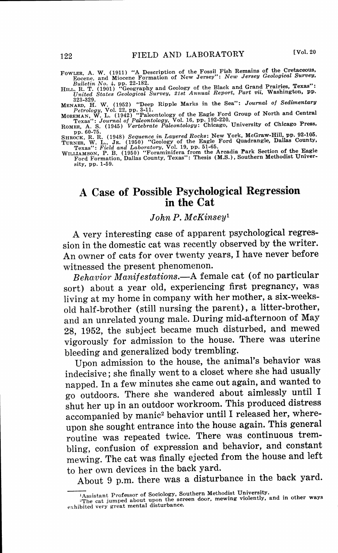- FOWLER, A. W. (1911) "A Description of the Fossil Fish Remains of the Cretaceous,<br>Eocene, and Miocene Formation of New Jersey": New Jersey Geological Survey,<br>Bulletin No. 4, pp. 22-182.<br>HILL, R. T. (1901) "Geography and Ge
- 

323-329.<br>MENARD, H. W. (1952) "Deep Ripple Marks in the Sea": Journal of Sedimentary<br>MenARD, Vol. 22, pp. 3-11.<br>MoREMAN, W. L. (1942) "Paleontology of the Eagle Ford Group of North and Centra<br>Texas": Journal of Paleontolog

SHROCK, R. R. (1948) Sequence in Layered Rocks: New York, McGraw-Hill, pp. 92-105<br>TURNER, W. L., JR. (1950) "Geology of the Eagle Ford Quadrangle, Dallas County,<br>Texas": Feiel and Laboratory, Vol. 19, pp. 51-65.<br>WILLAMSON,

sity, pp. 1-59.

## **A Case of Possible Psychological Regression in the Cat**

*JohnP. McKinsey <sup>1</sup>*

A very interesting case of apparent psychological regression in the domestic cat was recently observed by the writer. An owner of cats for over twenty years, I have never before witnessed the present phenomenon.

*Behavior Manifestations.-A* female cat (of no particular sort) about a year old, experiencing first pregnancy, was living at my home in company with her mother, a six-weeksold half-brother (still nursing the parent), a litter-brother, and an unrelated young male. During mid-afternoon of May 28, 1952, the subject became much disturbed, and mewed vigorously for admission to the house. There was uterine bleeding and generalized body trembling.

Upon admission to the house, the animal's behavior was indecisive; she finally went to a closet where she had usually napped. In a few minutes she came out again, and wanted to go outdoors. There she wandered about aimlessly until I shut her up in an outdoor workroom. This produced distress accompanied by manic<sup>2</sup> behavior until I released her, whereupon she sought entrance into the house again. This general routine was repeated twice. There was continuous trembling, confusion of expression and behavior, and constant mewing. The cat was finally ejected from the house and left to her own devices in the back yard.

About 9 p.m. there was a disturbance in the back yard.

<sup>&</sup>lt;sup>1</sup>Assistant Professor of Sociology, Southern Methodist University.

The cat jumped about upon the screen door, mewing violently, and in other ways exhibited very great mental disturbance.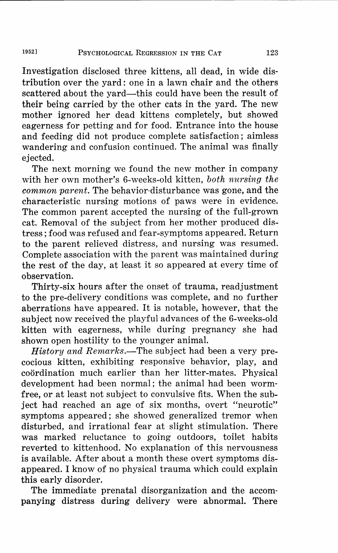Investigation disclosed three kittens, all dead, in wide distribution over the yard: one in a lawn chair and the others scattered about the vard—this could have been the result of their being carried by the other cats in the yard. The new mother ignored her dead kittens completely, but showed eagerness for petting and for food. Entrance into the house and feeding did not produce complete satisfaction; aimless wandering and confusion continued. The animal was finally ejected.

The next morning we found the new mother in company with her own mother's 6-weeks-old kitten, *both nursing the common parent.* The behavior-disturbance was gone, and the characteristic nursing motions of paws were in evidence. The common parent accepted the nursing of the full-grown cat. Removal of the subject from her mother produced distress; food was refused and fear-symptoms appeared. Return to the parent relieved distress, and nursing was resumed. Complete association with the parent was maintained during the rest of the day, at least it so appeared at every time of observation.

Thirty-six hours after the onset of trauma, readjustment to the pre-delivery conditions was complete, and no further aberrations have appeared. It is notable, however, that the subject now received the playful advances of the 6-weeks-old kitten with eagerness, while during pregnancy she had shown open hostility to the younger animal.

*History and Remarks.*—The subject had been a very precocious kitten, exhibiting responsive behavior, play, and coordination much earlier than her litter-mates. Physical development had been normal; the animal had been wormfree, or at least not subject to convulsive fits. When the subject had reached an age of six months, overt "neurotic" symptoms appeared; she showed generalized tremor when disturbed, and irrational fear at slight stimulation. There was marked reluctance to going outdoors, toilet habits reverted to kittenhood. No explanation of this nervousness is available. After about a month these overt symptoms disappeared. I know of no physical trauma which could explain this early disorder.

The immediate prenatal disorganization and the accompanying distress during delivery were abnormal. There